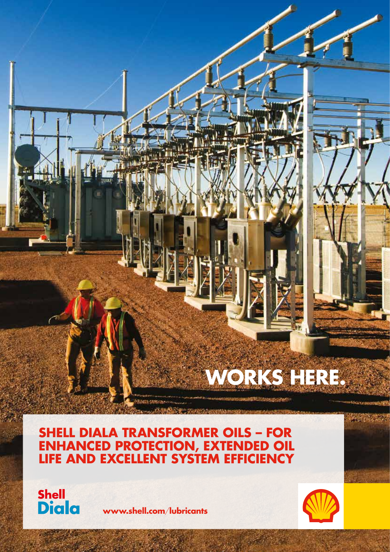# **WORKS HERE.**

# **SHELL DIALA TRANSFORMER OILS – FOR ENHANCED PROTECTION, EXTENDED OIL LIFE AND EXCELLENT SYSTEM EFFICIENCY**



**www.shell.com**/**lubricants**

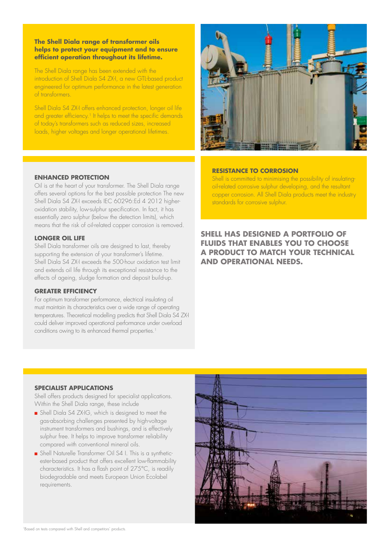# **The Shell Diala range of transformer oils helps to protect your equipment and to ensure efficient operation throughout its lifetime.**

The Shell Diala range has been extended with the introduction of Shell Diala S4 ZX-I, a new GTL-based product engineered for optimum performance in the latest generation of transformers.

Shell Diala S4 ZX-I offers enhanced protection, longer oil life and greater efficiency.<sup>1</sup> It helps to meet the specific demands of today's transformers such as reduced sizes, increased loads, higher voltages and longer operational lifetimes.



# **ENHANCED PROTECTION**

Oil is at the heart of your transformer. The Shell Diala range offers several options for the best possible protection The new Shell Diala S4 ZX-I exceeds IEC 60296:Ed 4 2012 higheroxidation stability, low-sulphur specification. In fact, it has essentially zero sulphur (below the detection limits), which means that the risk of oil-related copper corrosion is removed.

### **LONGER OIL LIFE**

Shell Diala transformer oils are designed to last, thereby supporting the extension of your transformer's lifetime. Shell Diala S4 ZX-I exceeds the 500-hour oxidation test limit and extends oil life through its exceptional resistance to the effects of ageing, sludge formation and deposit build-up.

# **GREATER EFFICIENCY**

For optimum transformer performance, electrical insulating oil must maintain its characteristics over a wide range of operating temperatures. Theoretical modelling predicts that Shell Diala S4 ZX-I could deliver improved operational performance under overload conditions owing to its enhanced thermal properties.<sup>1</sup>

# **RESISTANCE TO CORROSION**

Shell is committed to minimising the possibility of insulatingoil-related corrosive sulphur developing, and the resultant copper corrosion. All Shell Diala products meet the industry standards for corrosive sulphur.

# **SHELL HAS DESIGNED A PORTFOLIO OF FLUIDS THAT ENABLES YOU TO CHOOSE A PRODUCT TO MATCH YOUR TECHNICAL AND OPERATIONAL NEEDS.**

#### **SPECIALIST APPLICATIONS**

Shell offers products designed for specialist applications. Within the Shell Diala range, these include

- <sup>n</sup> Shell Diala S4 ZX-IG, which is designed to meet the gas-absorbing challenges presented by high-voltage instrument transformers and bushings, and is effectively sulphur free. It helps to improve transformer reliability compared with conventional mineral oils.
- <sup>n</sup> Shell Naturelle Transformer Oil S4 I. This is a syntheticester-based product that offers excellent low-flammability characteristics. It has a flash point of 275°C, is readily biodegradable and meets European Union Ecolabel requirements.

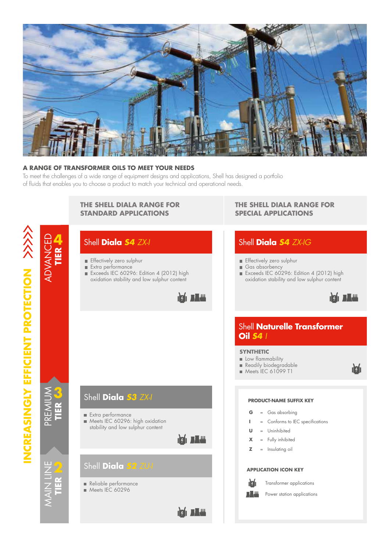

# **A RANGE OF TRANSFORMER OILS TO MEET YOUR NEEDS**

To meet the challenges of a wide range of equipment designs and applications, Shell has designed a portfolio of fluids that enables you to choose a product to match your technical and operational needs.

#### **THE SHELL DIALA RANGE FOR THE SHELL DIALA RANGE FOR STANDARD APPLICATIONS SPECIAL APPLICATIONS** ADVANCED **4** Shell **Diala** *S4 ZX-I* Shell **Diala** *S4 ZX-IG* **TIER Effectively zero sulphur Effectively zero sulphur** Extra performance Gas absorbency Exceeds IEC 60296: Edition 4 (2012) high Exceeds IEC 60296: Edition 4 (2012) high oxidation stability and low sulphur content oxidation stability and low sulphur content  $\frac{1}{2}$   $\frac{1}{2}$   $\frac{1}{2}$   $\frac{1}{2}$   $\frac{1}{2}$   $\frac{1}{2}$ **DEALER** Shell **Naturelle Transformer Oil** *S4 I* **SYNTHETIC** Low flammability Readily biodegradable **nzí** Meets IEC 61099 T1 **3** Shell **Diala** *S3 ZX-I* **PRODUCT-NAME SUFFIX KEY** PREMI **TIER G** = Gas absorbing Extra performance Meets IEC 60296: high oxidation **Conforms to IEC specifications** stability and low sulphur content **U** = Uninhibited **ICI JAW X** = Fully inhibited **Z** = Insulating oil Shell **Diala** *S2 ZU-I* MAI NAV NH NAV **APPLICATION ICON KEY TIER** nizin Transformer applications Reliable performance Meets IEC 60296  $\blacksquare$ Power station applications $\frac{1}{2}$  ,  $\frac{1}{2}$  ,  $\frac{1}{2}$

INCREASINGLY EFFICIENT PROTECTION >>>> **INCREASINGLY EFFICIENT PROTECTION**